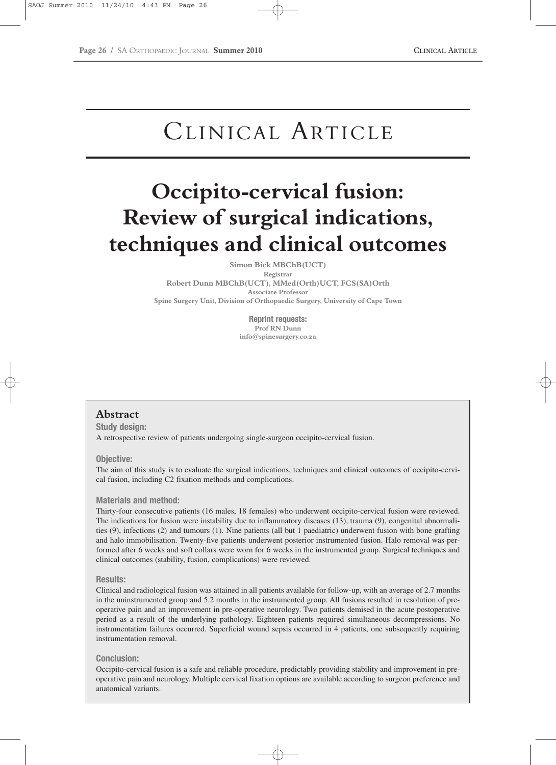## CLINICAL ARTICLE

# **Occipito-cervical fusion: Review of surgical indications, techniques and clinical outcomes**

**Simon Bick MBChB(UCT)**

**Registrar Robert Dunn MBChB(UCT), MMed(Orth)UCT, FCS(SA)Orth Associate Professor Spine Surgery Unit, Division of Orthopaedic Surgery, University of Cape Town**

> **Reprint requests: Prof RN Dunn info@spinesurgery.co.za**

## **Abstract**

**Study design:**  A retrospective review of patients undergoing single-surgeon occipito-cervical fusion.

#### **Objective:**

The aim of this study is to evaluate the surgical indications, techniques and clinical outcomes of occipito-cervical fusion, including C2 fixation methods and complications.

#### **Materials and method:**

Thirty-four consecutive patients (16 males, 18 females) who underwent occipito-cervical fusion were reviewed. The indications for fusion were instability due to inflammatory diseases (13), trauma (9), congenital abnormalities (9), infections (2) and tumours (1). Nine patients (all but 1 paediatric) underwent fusion with bone grafting and halo immobilisation. Twenty-five patients underwent posterior instrumented fusion. Halo removal was performed after 6 weeks and soft collars were worn for 6 weeks in the instrumented group. Surgical techniques and clinical outcomes (stability, fusion, complications) were reviewed.

#### **Results:**

Clinical and radiological fusion was attained in all patients available for follow-up, with an average of 2.7 months in the uninstrumented group and 5.2 months in the instrumented group. All fusions resulted in resolution of preoperative pain and an improvement in pre-operative neurology. Two patients demised in the acute postoperative period as a result of the underlying pathology. Eighteen patients required simultaneous decompressions. No instrumentation failures occurred. Superficial wound sepsis occurred in 4 patients, one subsequently requiring instrumentation removal.

#### **Conclusion:**

Occipito-cervical fusion is a safe and reliable procedure, predictably providing stability and improvement in preoperative pain and neurology. Multiple cervical fixation options are available according to surgeon preference and anatomical variants.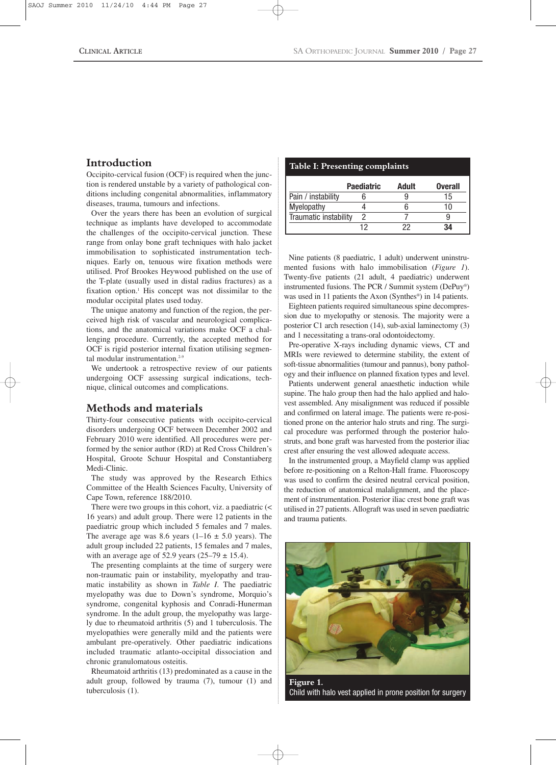## **Introduction**

Occipito-cervical fusion (OCF) is required when the junction is rendered unstable by a variety of pathological conditions including congenital abnormalities, inflammatory diseases, trauma, tumours and infections.

Over the years there has been an evolution of surgical technique as implants have developed to accommodate the challenges of the occipito-cervical junction. These range from onlay bone graft techniques with halo jacket immobilisation to sophisticated instrumentation techniques. Early on, tenuous wire fixation methods were utilised. Prof Brookes Heywood published on the use of the T-plate (usually used in distal radius fractures) as a fixation option.1 His concept was not dissimilar to the modular occipital plates used today.

The unique anatomy and function of the region, the perceived high risk of vascular and neurological complications, and the anatomical variations make OCF a challenging procedure. Currently, the accepted method for OCF is rigid posterior internal fixation utilising segmental modular instrumentation.<sup>2-9</sup>

We undertook a retrospective review of our patients undergoing OCF assessing surgical indications, technique, clinical outcomes and complications.

## **Methods and materials**

Thirty-four consecutive patients with occipito-cervical disorders undergoing OCF between December 2002 and February 2010 were identified. All procedures were performed by the senior author (RD) at Red Cross Children's Hospital, Groote Schuur Hospital and Constantiaberg Medi-Clinic.

The study was approved by the Research Ethics Committee of the Health Sciences Faculty, University of Cape Town, reference 188/2010.

There were two groups in this cohort, viz. a paediatric (< 16 years) and adult group. There were 12 patients in the paediatric group which included 5 females and 7 males. The average age was 8.6 years  $(1-16 \pm 5.0 \text{ years})$ . The adult group included 22 patients, 15 females and 7 males, with an average age of 52.9 years  $(25-79 \pm 15.4)$ .

The presenting complaints at the time of surgery were non-traumatic pain or instability, myelopathy and traumatic instability as shown in *Table I*. The paediatric myelopathy was due to Down's syndrome, Morquio's syndrome, congenital kyphosis and Conradi-Hunerman syndrome. In the adult group, the myelopathy was largely due to rheumatoid arthritis (5) and 1 tuberculosis. The myelopathies were generally mild and the patients were ambulant pre-operatively. Other paediatric indications included traumatic atlanto-occipital dissociation and chronic granulomatous osteitis.

Rheumatoid arthritis (13) predominated as a cause in the adult group, followed by trauma (7), tumour (1) and tuberculosis (1).

#### **Table I: Presenting complaints**

|                       | <b>Paediatric</b> | Adult | <b>Overall</b> |
|-----------------------|-------------------|-------|----------------|
| Pain / instability    |                   |       | מ ו            |
| Myelopathy            |                   |       | 11             |
| Traumatic instability |                   |       |                |
|                       | ר ו               |       | 34             |

Nine patients (8 paediatric, 1 adult) underwent uninstrumented fusions with halo immobilisation (*Figure 1*). Twenty-five patients (21 adult, 4 paediatric) underwent instrumented fusions. The PCR / Summit system (DePuy®) was used in 11 patients the Axon (Synthes<sup>®</sup>) in 14 patients.

Eighteen patients required simultaneous spine decompression due to myelopathy or stenosis. The majority were a posterior C1 arch resection (14), sub-axial laminectomy (3) and 1 necessitating a trans-oral odontoidectomy.

Pre-operative X-rays including dynamic views, CT and MRIs were reviewed to determine stability, the extent of soft-tissue abnormalities (tumour and pannus), bony pathology and their influence on planned fixation types and level.

Patients underwent general anaesthetic induction while supine. The halo group then had the halo applied and halovest assembled. Any misalignment was reduced if possible and confirmed on lateral image. The patients were re-positioned prone on the anterior halo struts and ring. The surgical procedure was performed through the posterior halostruts, and bone graft was harvested from the posterior iliac crest after ensuring the vest allowed adequate access.

In the instrumented group, a Mayfield clamp was applied before re-positioning on a Relton-Hall frame. Fluoroscopy was used to confirm the desired neutral cervical position, the reduction of anatomical malalignment, and the placement of instrumentation. Posterior iliac crest bone graft was utilised in 27 patients. Allograft was used in seven paediatric and trauma patients.



Child with halo vest applied in prone position for surgery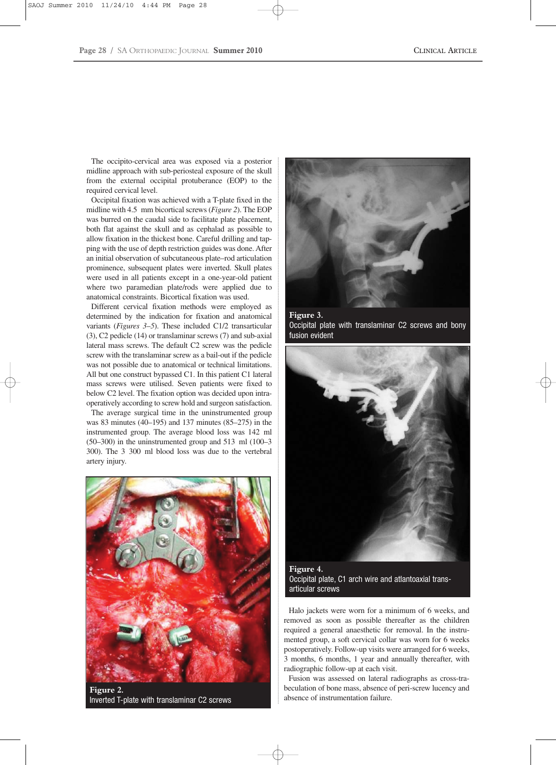The occipito-cervical area was exposed via a posterior midline approach with sub-periosteal exposure of the skull from the external occipital protuberance (EOP) to the required cervical level.

Occipital fixation was achieved with a T-plate fixed in the midline with 4.5 mm bicortical screws (*Figure 2*). The EOP was burred on the caudal side to facilitate plate placement, both flat against the skull and as cephalad as possible to allow fixation in the thickest bone. Careful drilling and tapping with the use of depth restriction guides was done. After an initial observation of subcutaneous plate–rod articulation prominence, subsequent plates were inverted. Skull plates were used in all patients except in a one-year-old patient where two paramedian plate/rods were applied due to anatomical constraints. Bicortical fixation was used.

Different cervical fixation methods were employed as determined by the indication for fixation and anatomical variants (*Figures 3*–*5*). These included C1/2 transarticular (3), C2 pedicle (14) or translaminar screws (7) and sub-axial lateral mass screws. The default C2 screw was the pedicle screw with the translaminar screw as a bail-out if the pedicle was not possible due to anatomical or technical limitations. All but one construct bypassed C1. In this patient C1 lateral mass screws were utilised. Seven patients were fixed to below C2 level. The fixation option was decided upon intraoperatively according to screw hold and surgeon satisfaction.

The average surgical time in the uninstrumented group was 83 minutes (40–195) and 137 minutes (85–275) in the instrumented group. The average blood loss was 142 ml  $(50-300)$  in the uninstrumented group and 513 ml  $(100-3)$ 300). The 3 300 ml blood loss was due to the vertebral artery injury.



**Figure 2.**  Inverted T-plate with translaminar C2 screws



**Figure 3.**  Occipital plate with translaminar C2 screws and bony fusion evident



Occipital plate, C1 arch wire and atlantoaxial transarticular screws

Halo jackets were worn for a minimum of 6 weeks, and removed as soon as possible thereafter as the children required a general anaesthetic for removal. In the instrumented group, a soft cervical collar was worn for 6 weeks postoperatively. Follow-up visits were arranged for 6 weeks, 3 months, 6 months, 1 year and annually thereafter, with radiographic follow-up at each visit.

Fusion was assessed on lateral radiographs as cross-trabeculation of bone mass, absence of peri-screw lucency and absence of instrumentation failure.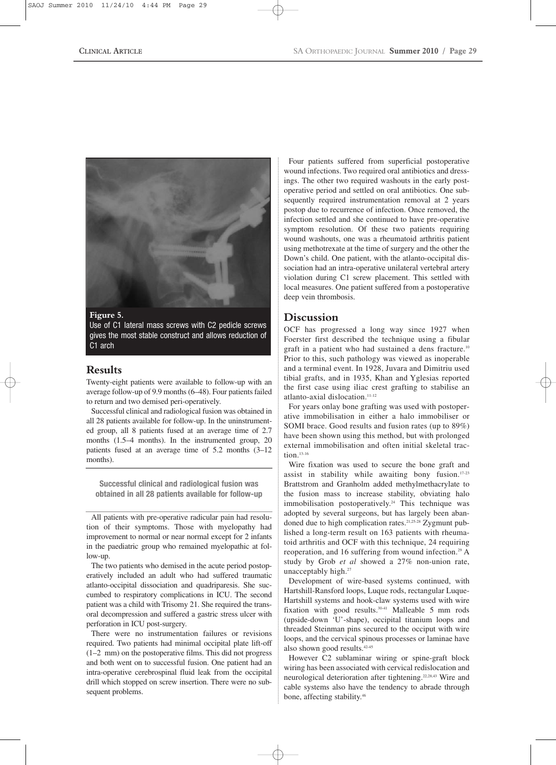

#### **Figure 5.**

Use of C1 lateral mass screws with C2 pedicle screws gives the most stable construct and allows reduction of C1 arch

## **Results**

Twenty-eight patients were available to follow-up with an average follow-up of 9.9 months (6–48). Four patients failed to return and two demised peri-operatively.

Successful clinical and radiological fusion was obtained in all 28 patients available for follow-up. In the uninstrumented group, all 8 patients fused at an average time of 2.7 months (1.5–4 months). In the instrumented group, 20 patients fused at an average time of 5.2 months (3–12 months).

**Successful clinical and radiological fusion was obtained in all 28 patients available for follow-up**

All patients with pre-operative radicular pain had resolution of their symptoms. Those with myelopathy had improvement to normal or near normal except for 2 infants in the paediatric group who remained myelopathic at follow-up.

The two patients who demised in the acute period postoperatively included an adult who had suffered traumatic atlanto-occipital dissociation and quadriparesis. She succumbed to respiratory complications in ICU. The second patient was a child with Trisomy 21. She required the transoral decompression and suffered a gastric stress ulcer with perforation in ICU post-surgery.

There were no instrumentation failures or revisions required. Two patients had minimal occipital plate lift-off (1–2 mm) on the postoperative films. This did not progress and both went on to successful fusion. One patient had an intra-operative cerebrospinal fluid leak from the occipital drill which stopped on screw insertion. There were no subsequent problems.

Four patients suffered from superficial postoperative wound infections. Two required oral antibiotics and dressings. The other two required washouts in the early postoperative period and settled on oral antibiotics. One subsequently required instrumentation removal at 2 years postop due to recurrence of infection. Once removed, the infection settled and she continued to have pre-operative symptom resolution. Of these two patients requiring wound washouts, one was a rheumatoid arthritis patient using methotrexate at the time of surgery and the other the Down's child. One patient, with the atlanto-occipital dissociation had an intra-operative unilateral vertebral artery violation during C1 screw placement. This settled with local measures. One patient suffered from a postoperative deep vein thrombosis.

## **Discussion**

OCF has progressed a long way since 1927 when Foerster first described the technique using a fibular graft in a patient who had sustained a dens fracture.<sup>10</sup> Prior to this, such pathology was viewed as inoperable and a terminal event. In 1928, Juvara and Dimitriu used tibial grafts, and in 1935, Khan and Yglesias reported the first case using iliac crest grafting to stabilise an atlanto-axial dislocation.<sup>11-12</sup>

For years onlay bone grafting was used with postoperative immobilisation in either a halo immobiliser or SOMI brace. Good results and fusion rates (up to 89%) have been shown using this method, but with prolonged external immobilisation and often initial skeletal traction. $13-16$ 

Wire fixation was used to secure the bone graft and assist in stability while awaiting bony fusion.17-23 Brattstrom and Granholm added methylmethacrylate to the fusion mass to increase stability, obviating halo immobilisation postoperatively.<sup>24</sup> This technique was adopted by several surgeons, but has largely been abandoned due to high complication rates.<sup>21,25-28</sup> Zygmunt published a long-term result on 163 patients with rheumatoid arthritis and OCF with this technique, 24 requiring reoperation, and 16 suffering from wound infection.<sup>29</sup> A study by Grob *et al* showed a 27% non-union rate, unacceptably high.<sup>27</sup>

Development of wire-based systems continued, with Hartshill-Ransford loops, Luque rods, rectangular Luque-Hartshill systems and hook-claw systems used with wire fixation with good results.<sup>30-41</sup> Malleable 5 mm rods (upside-down 'U'-shape), occipital titanium loops and threaded Steinman pins secured to the occiput with wire loops, and the cervical spinous processes or laminae have also shown good results.42-45

However C2 sublaminar wiring or spine-graft block wiring has been associated with cervical redislocation and neurological deterioration after tightening.22,28,43 Wire and cable systems also have the tendency to abrade through bone, affecting stability.46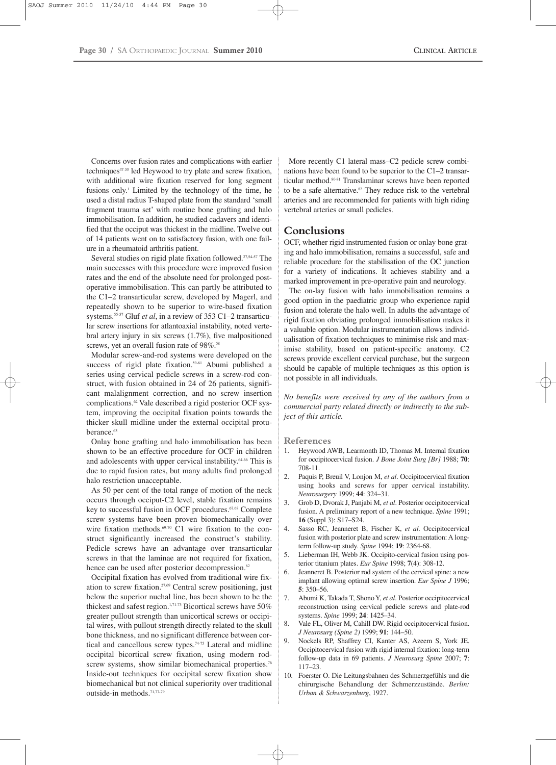Concerns over fusion rates and complications with earlier techniques<sup>47-53</sup> led Heywood to try plate and screw fixation, with additional wire fixation reserved for long segment fusions only.<sup>1</sup> Limited by the technology of the time, he used a distal radius T-shaped plate from the standard 'small fragment trauma set' with routine bone grafting and halo immobilisation. In addition, he studied cadavers and identified that the occiput was thickest in the midline. Twelve out of 14 patients went on to satisfactory fusion, with one failure in a rheumatoid arthritis patient.

Several studies on rigid plate fixation followed.<sup>27,54-57</sup> The main successes with this procedure were improved fusion rates and the end of the absolute need for prolonged postoperative immobilisation. This can partly be attributed to the C1–2 transarticular screw, developed by Magerl, and repeatedly shown to be superior to wire-based fixation systems.55-57 Gluf *et al*, in a review of 353 C1–2 transarticular screw insertions for atlantoaxial instability, noted vertebral artery injury in six screws (1.7%), five malpositioned screws, yet an overall fusion rate of 98%.<sup>58</sup>

Modular screw-and-rod systems were developed on the success of rigid plate fixation.<sup>59-61</sup> Abumi published a series using cervical pedicle screws in a screw-rod construct, with fusion obtained in 24 of 26 patients, significant malalignment correction, and no screw insertion complications.62 Vale described a rigid posterior OCF system, improving the occipital fixation points towards the thicker skull midline under the external occipital protuberance.<sup>63</sup>

Onlay bone grafting and halo immobilisation has been shown to be an effective procedure for OCF in children and adolescents with upper cervical instability.<sup>64-66</sup> This is due to rapid fusion rates, but many adults find prolonged halo restriction unacceptable.

As 50 per cent of the total range of motion of the neck occurs through occiput-C2 level, stable fixation remains key to successful fusion in OCF procedures.<sup>67,68</sup> Complete screw systems have been proven biomechanically over wire fixation methods.<sup>69-70</sup> C1 wire fixation to the construct significantly increased the construct's stability. Pedicle screws have an advantage over transarticular screws in that the laminae are not required for fixation, hence can be used after posterior decompression.<sup>62</sup>

Occipital fixation has evolved from traditional wire fixation to screw fixation.27,69 Central screw positioning, just below the superior nuchal line, has been shown to be the thickest and safest region.<sup>1,71-73</sup> Bicortical screws have 50% greater pullout strength than unicortical screws or occipital wires, with pullout strength directly related to the skull bone thickness, and no significant difference between cortical and cancellous screw types.74-75 Lateral and midline occipital bicortical screw fixation, using modern rodscrew systems, show similar biomechanical properties.<sup>76</sup> Inside-out techniques for occipital screw fixation show biomechanical but not clinical superiority over traditional outside-in methods.71,77-79

More recently C1 lateral mass–C2 pedicle screw combinations have been found to be superior to the C1–2 transarticular method.80-81 Translaminar screws have been reported to be a safe alternative.<sup>82</sup> They reduce risk to the vertebral arteries and are recommended for patients with high riding vertebral arteries or small pedicles.

### **Conclusions**

OCF, whether rigid instrumented fusion or onlay bone grating and halo immobilisation, remains a successful, safe and reliable procedure for the stabilisation of the OC junction for a variety of indications. It achieves stability and a marked improvement in pre-operative pain and neurology.

The on-lay fusion with halo immobilisation remains a good option in the paediatric group who experience rapid fusion and tolerate the halo well. In adults the advantage of rigid fixation obviating prolonged immobilisation makes it a valuable option. Modular instrumentation allows individualisation of fixation techniques to minimise risk and maximise stability, based on patient-specific anatomy. C2 screws provide excellent cervical purchase, but the surgeon should be capable of multiple techniques as this option is not possible in all individuals.

*No benefits were received by any of the authors from a commercial party related directly or indirectly to the subject of this article.*

**References**

- 1. Heywood AWB, Learmonth ID, Thomas M. Internal fixation for occipitocervical fusion. *J Bone Joint Surg [Br]* 1988; **70**: 708-11.
- 2. Paquis P, Breuil V, Lonjon M, *et al*. Occipitocervical fixation using hooks and screws for upper cervical instability. *Neurosurgery* 1999; **44**: 324–31.
- 3. Grob D, Dvorak J, Panjabi M, *et al*. Posterior occipitocervical fusion. A preliminary report of a new technique. *Spine* 1991; **16** (Suppl 3): S17–S24.
- 4. Sasso RC, Jeanneret B, Fischer K, *et al*. Occipitocervical fusion with posterior plate and screw instrumentation: A longterm follow-up study. *Spine* 1994; **19**: 2364-68.
- 5. Lieberman IH, Webb JK. Occipito-cervical fusion using posterior titanium plates. *Eur Spine* 1998; **7**(4): 308-12.
- 6. Jeanneret B. Posterior rod system of the cervical spine: a new implant allowing optimal screw insertion. *Eur Spine J* 1996; **5**: 350–56.
- 7. Abumi K, Takada T, Shono Y, *et al*. Posterior occipitocervical reconstruction using cervical pedicle screws and plate-rod systems. *Spine* 1999; **24**: 1425–34.
- 8. Vale FL, Oliver M, Cahill DW. Rigid occipitocervical fusion. *J Neurosurg (Spine 2)* 1999; **91**: 144–50.
- 9. Nockels RP, Shaffrey CI, Kanter AS, Azeem S, York JE. Occipitocervical fusion with rigid internal fixation: long-term follow-up data in 69 patients. *J Neurosurg Spine* 2007; **7**: 117–23.
- 10. Foerster O. Die Leitungsbahnen des Schmerzgefühls und die chirurgische Behandlung der Schmerzzustände. *Berlin: Urban & Schwarzenburg*, 1927.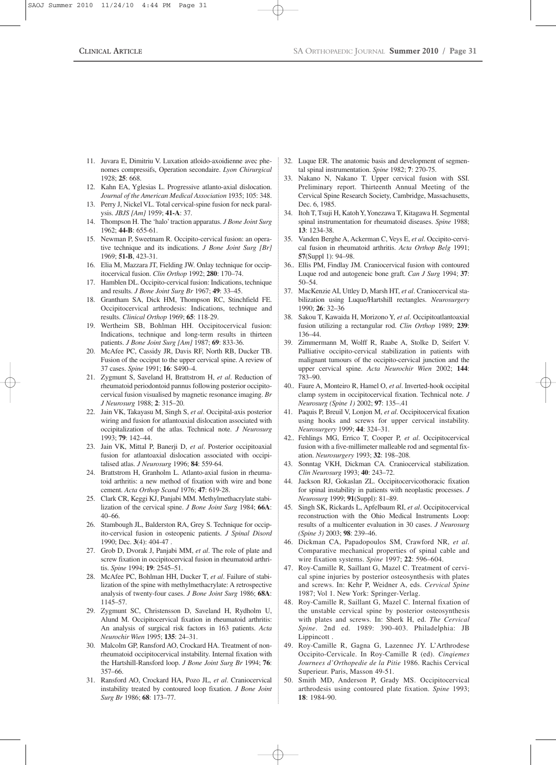- 11. Juvara E, Dimitriu V. Luxation atloido-axoidienne avec phenomes compressifs, Operation secondaire. *Lyon Chirurgical* 1928; **25**: 668.
- 12. Kahn EA, Yglesias L. Progressive atlanto-axial dislocation. *Journal of the American Medical Association* 1935; 105: 348.
- 13. Perry J, Nickel VL. Total cervical-spine fusion for neck paralysis. *JBJS [Am]* 1959; **41-A**: 37.
- 14. Thompson H. The 'halo'traction apparatus. *J Bone Joint Surg* 1962; **44-B**: 655-61.
- 15. Newman P, Sweetnam R. Occipito-cervical fusion: an operative technique and its indications. *J Bone Joint Surg [Br]* 1969; **51-B**, 423-31.
- 16. Elia M, Mazzara JT, Fielding JW. Onlay technique for occipitocervical fusion. *Clin Orthop* 1992; **280**: 170–74.
- 17. Hamblen DL. Occipito-cervical fusion: Indications, technique and results. *J Bone Joint Surg Br* 1967; **49**: 33–45.
- 18. Grantham SA, Dick HM, Thompson RC, Stinchfield FE. Occipitocervical arthrodesis: Indications, technique and results. *Clinical Orthop* 1969; **65**: 118-29.
- 19. Wertheim SB, Bohlman HH. Occipitocervical fusion: Indications, technique and long-term results in thirteen patients. *J Bone Joint Surg [Am]* 1987; **69**: 833-36.
- 20. McAfee PC, Cassidy JR, Davis RF, North RB, Ducker TB. Fusion of the occiput to the upper cervical spine. A review of 37 cases. *Spine* 1991; **16**: S490–4.
- 21. Zygmunt S, Saveland H, Brattstrom H, *et al*. Reduction of rheumatoid periodontoid pannus following posterior occipitocervical fusion visualised by magnetic resonance imaging. *Br J Neurosurg* 1988; **2**: 315–20.
- 22. Jain VK, Takayasu M, Singh S, *et al*. Occipital-axis posterior wiring and fusion for atlantoaxial dislocation associated with occipitalization of the atlas. Technical note. *J Neurosurg* 1993; **79**: 142–44.
- 23. Jain VK, Mittal P, Banerji D, *et al*. Posterior occipitoaxial fusion for atlantoaxial dislocation associated with occipitalised atlas. *J Neurosurg* 1996; **84**: 559-64.
- 24. Brattstrom H, Granholm L. Atlanto-axial fusion in rheumatoid arthritis: a new method of fixation with wire and bone cement. *Acta Orthop Scand* 1976; **47**: 619-28.
- 25. Clark CR, Keggi KJ, Panjabi MM. Methylmethacrylate stabilization of the cervical spine. *J Bone Joint Surg* 1984; **66A**: 40–66.
- 26. Stambough JL, Balderston RA, Grey S. Technique for occipito-cervical fusion in osteopenic patients. *J Spinal Disord* 1990; Dec. **3**(4): 404-47 .
- 27. Grob D, Dvorak J, Panjabi MM, *et al*. The role of plate and screw fixation in occipitocervical fusion in rheumatoid arthritis. *Spine* 1994; **19**: 2545–51.
- 28. McAfee PC, Bohlman HH, Ducker T, *et al*. Failure of stabilization of the spine with methylmethacrylate: A retrospective analysis of twenty-four cases. *J Bone Joint Surg* 1986; **68A**: 1145–57.
- 29. Zygmunt SC, Christensson D, Saveland H, Rydholm U, Alund M. Occipitocervical fixation in rheumatoid arthritis: An analysis of surgical risk factors in 163 patients. *Acta Neurochir Wien* 1995; **135**: 24–31.
- 30. Malcolm GP, Ransford AO, Crockard HA. Treatment of nonrheumatoid occipitocervical instability. Internal fixation with the Hartshill-Ransford loop. *J Bone Joint Surg Br* 1994; **76**: 357–66.
- 31. Ransford AO, Crockard HA, Pozo JL, *et al*. Craniocervical instability treated by contoured loop fixation. *J Bone Joint Surg Br* 1986; **68**: 173–77.
- 32. Luque ER. The anatomic basis and development of segmental spinal instrumentation. *Spine* 1982; **7**: 270-75.
- 33. Nakano N, Nakano T. Upper cervical fusion with SSI. Preliminary report. Thirteenth Annual Meeting of the Cervical Spine Research Society, Cambridge, Massachusetts, Dec. 6, 1985.
- 34. Itoh T, Tsuji H, Katoh Y,Yonezawa T, Kitagawa H. Segmental spinal instrumentation for rheumatoid diseases. *Spine* 1988; **13**: 1234-38.
- 35. Vanden Berghe A, Ackerman C, Veys E, *et al*. Occipito-cervical fusion in rheumatoid arthritis. *Acta Orthop Belg* 1991; **57**(Suppl 1): 94–98.
- 36.. Ellis PM, Findlay JM. Craniocervical fusion with contoured Luque rod and autogeneic bone graft. *Can J Surg* 1994; **37**: 50–54.
- 37. MacKenzie AI, Uttley D, Marsh HT, *et al*. Craniocervical stabilization using Luque/Hartshill rectangles. *Neurosurgery* 1990; **26**: 32–36
- 38. Sakou T, Kawaida H, Morizono Y, *et al*. Occipitoatlantoaxial fusion utilizing a rectangular rod. *Clin Orthop* 1989; **239**: 136–44.
- 39. Zimmermann M, Wolff R, Raabe A, Stolke D, Seifert V. Palliative occipito-cervical stabilization in patients with malignant tumours of the occipito-cervical junction and the upper cervical spine. *Acta Neurochir Wien* 2002; **144**: 783–90.
- 40.. Faure A, Monteiro R, Hamel O, *et al*. Inverted-hook occipital clamp system in occipitocervical fixation. Technical note. *J Neurosurg (Spine 1)* 2002; **97**: 135–.41
- 41. Paquis P, Breuil V, Lonjon M, *et al*. Occipitocervical fixation using hooks and screws for upper cervical instability. *Neurosurgery* 1999; **44**: 324–31.
- 42.. Fehlings MG, Errico T, Cooper P, *et al*. Occipitocervical fusion with a five-millimeter malleable rod and segmental fixation. *Neurosurgery* 1993; **32**: 198–208.
- 43. Sonntag VKH, Dickman CA. Craniocervical stabilization. *Clin Neurosurg* 1993; **40**: 243–72.
- 44. Jackson RJ, Gokaslan ZL. Occipitocervicothoracic fixation for spinal instability in patients with neoplastic processes. *J Neurosurg* 1999; **91**(Suppl): 81–89.
- 45. Singh SK, Rickards L, Apfelbaum RI, *et al*. Occipitocervical reconstruction with the Ohio Medical Instruments Loop: results of a multicenter evaluation in 30 cases. *J Neurosurg (Spine 3)* 2003; **98**: 239–46.
- 46. Dickman CA, Papadopoulos SM, Crawford NR, *et al*. Comparative mechanical properties of spinal cable and wire fixation systems. *Spine* 1997; **22**: 596–604.
- 47. Roy-Camille R, Saillant G, Mazel C. Treatment of cervical spine injuries by posterior osteosynthesis with plates and screws. In: Kehr P, Weidner A, eds. *Cervical Spine* 1987; Vol 1. New York: Springer-Verlag.
- 48. Roy-Camille R, Saillant G, Mazel C. Internal fixation of the unstable cervical spine by posterior osteosynthesis with plates and screws. In: Sherk H, ed. *The Cervical Spine*. 2nd ed. 1989: 390-403. Philadelphia: JB Lippincott .
- 49. Roy-Camille R, Gagna G, Lazennec JY. L'Arthrodese Occipito-Cervicale. In Roy-Camille R (ed). *Cinqiemes Journees d'Orthopedie de la Pitie* 1986. Rachis Cervical Superieur. Paris, Masson 49-51.
- 50. Smith MD, Anderson P, Grady MS. Occipitocervical arthrodesis using contoured plate fixation. *Spine* 1993; **18**: 1984-90.